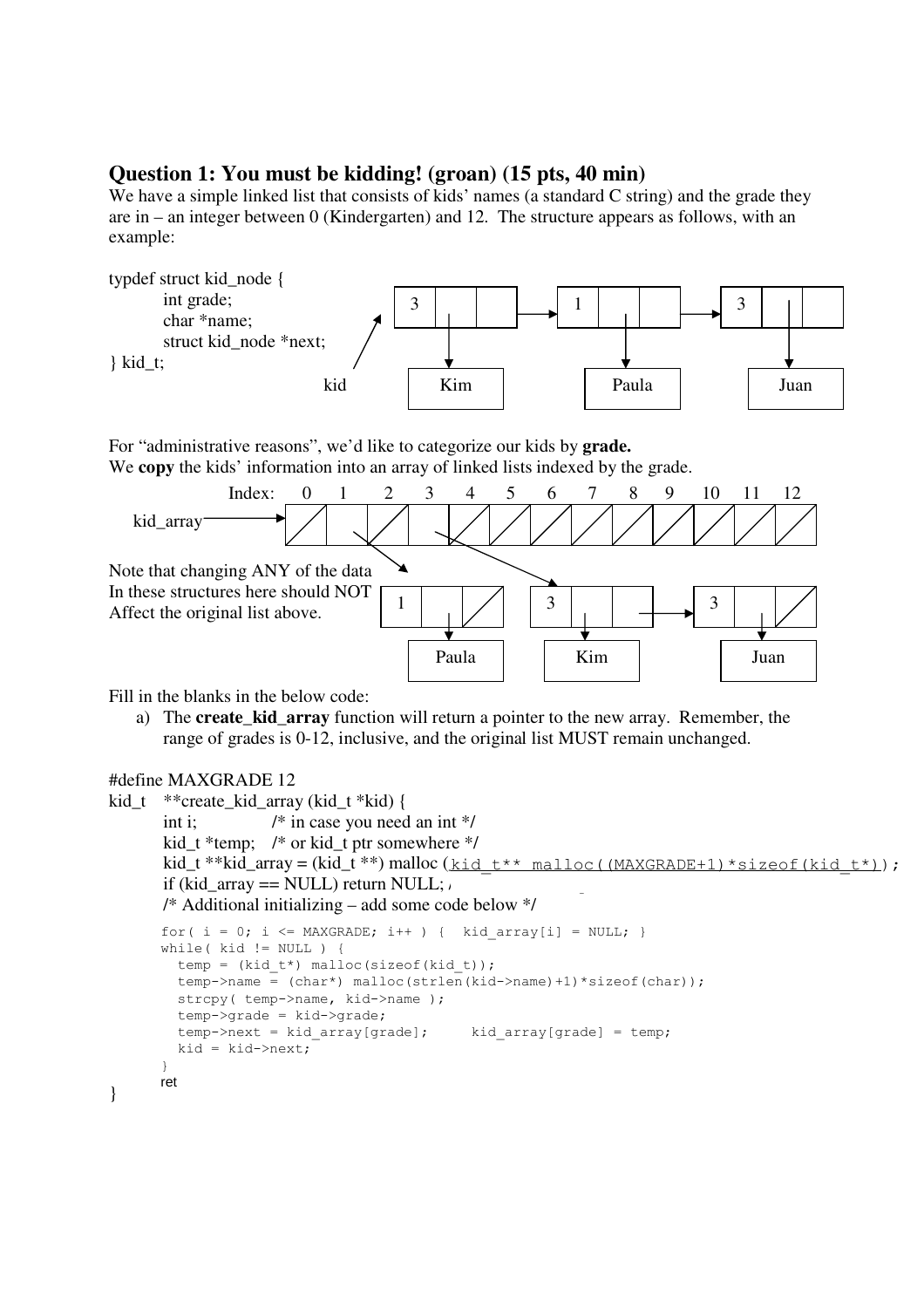## **Question 1: You must be kidding! (groan) (15 pts, 40 min)**

We have a simple linked list that consists of kids' names (a standard C string) and the grade they are in – an integer between 0 (Kindergarten) and 12. The structure appears as follows, with an example:



For "administrative reasons", we'd like to categorize our kids by **grade.** We **copy** the kids' information into an array of linked lists indexed by the grade.



Fill in the blanks in the below code:

a) The **create\_kid\_array** function will return a pointer to the new array. Remember, the range of grades is 0-12, inclusive, and the original list MUST remain unchanged.

```
#define MAXGRADE 12
```

```
kid_t **create_kid_array (kid_t *kid) { 
       int i; \frac{1}{2} /* in case you need an int */
        kid_t *temp; /* or kid_t ptr somewhere */ 
kid_t **kid_array = (kid_t **) \text{ malloc} (\underline{kid_t**} \text{ malloc} (\underline{\text{MAXGRADE}+1})*size of (kid_t*));if (kid_array == NULL) return NULL; \mu /* Additional initializing – add some code below */ 
ret i
} 
      for( i = 0; i \leq MAXGRADE; i++ ) { kid array[i] = NULL; }
      while(kid := NULL) {
         temp = (kid t*) malloc(sizeof(kid t));
         temp->name = (char*) malloc(strlen(kid->name)+1)*sizeof(char));
         strcpy( temp->name, kid->name );
          temp->grade = kid->grade; 
         temp->next = kid array[grade]; kid array[grade] = temp;
         kid = kid->next;}
```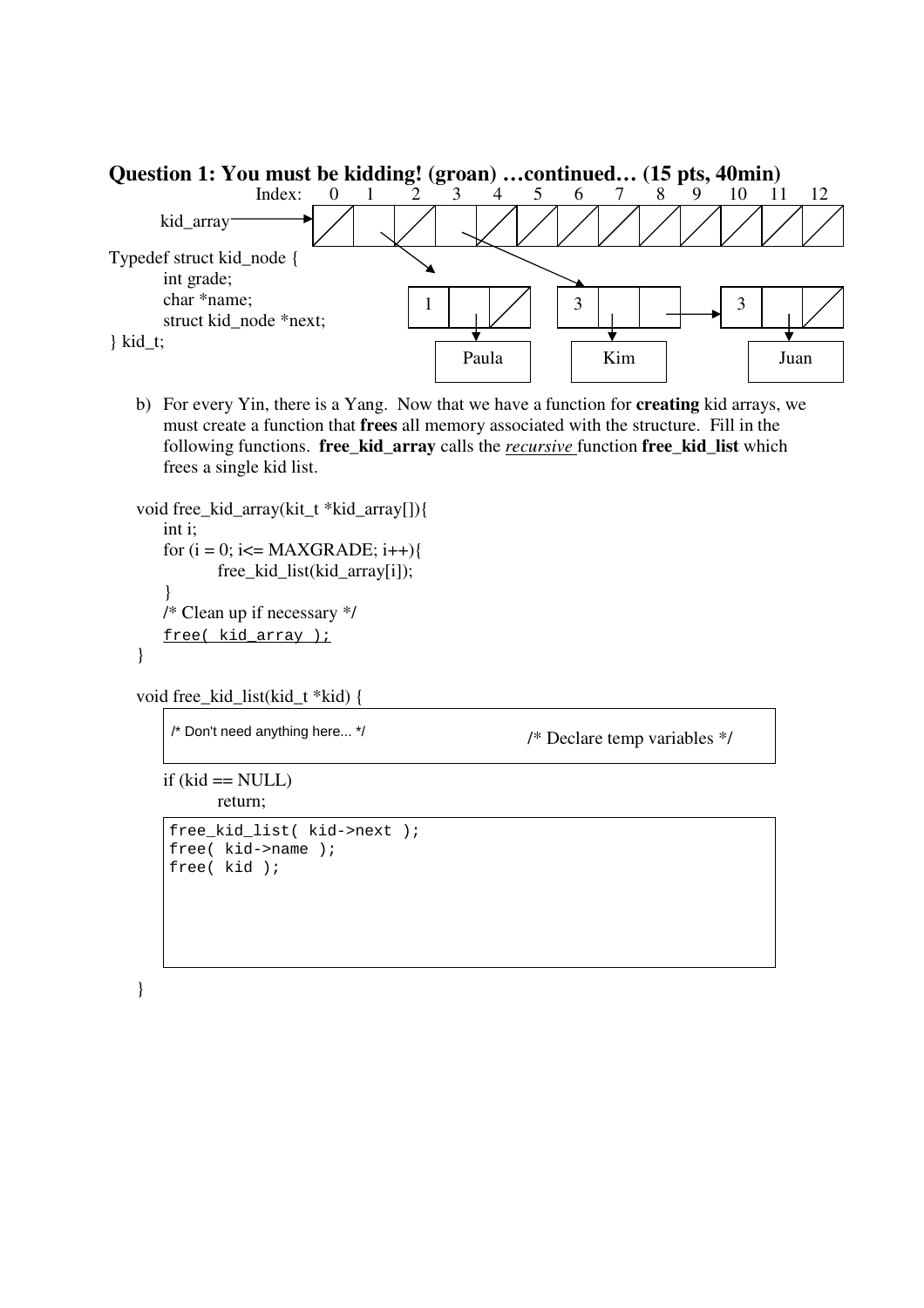

b) For every Yin, there is a Yang. Now that we have a function for **creating** kid arrays, we must create a function that **frees** all memory associated with the structure. Fill in the following functions. **free\_kid\_array** calls the *recursive* function **free\_kid\_list** which frees a single kid list.

```
void free_kid_array(kit_t *kid_array[]){ 
   int i; 
  for (i = 0; i \leq MAXGRADE; i++) free_kid_list(kid_array[i]); 
    } 
   /* Clean up if necessary */ 
free( kid_array );
}
```

```
void free_kid_list(kid_t *kid) {
```

```
/* Don't need anything here... */
```
/\* Declare temp variables \*/

```
if (kid == NULL) return;
```

```
free kid list( kid->next );
free( kid->name ); 
free( kid );
```

```
}
```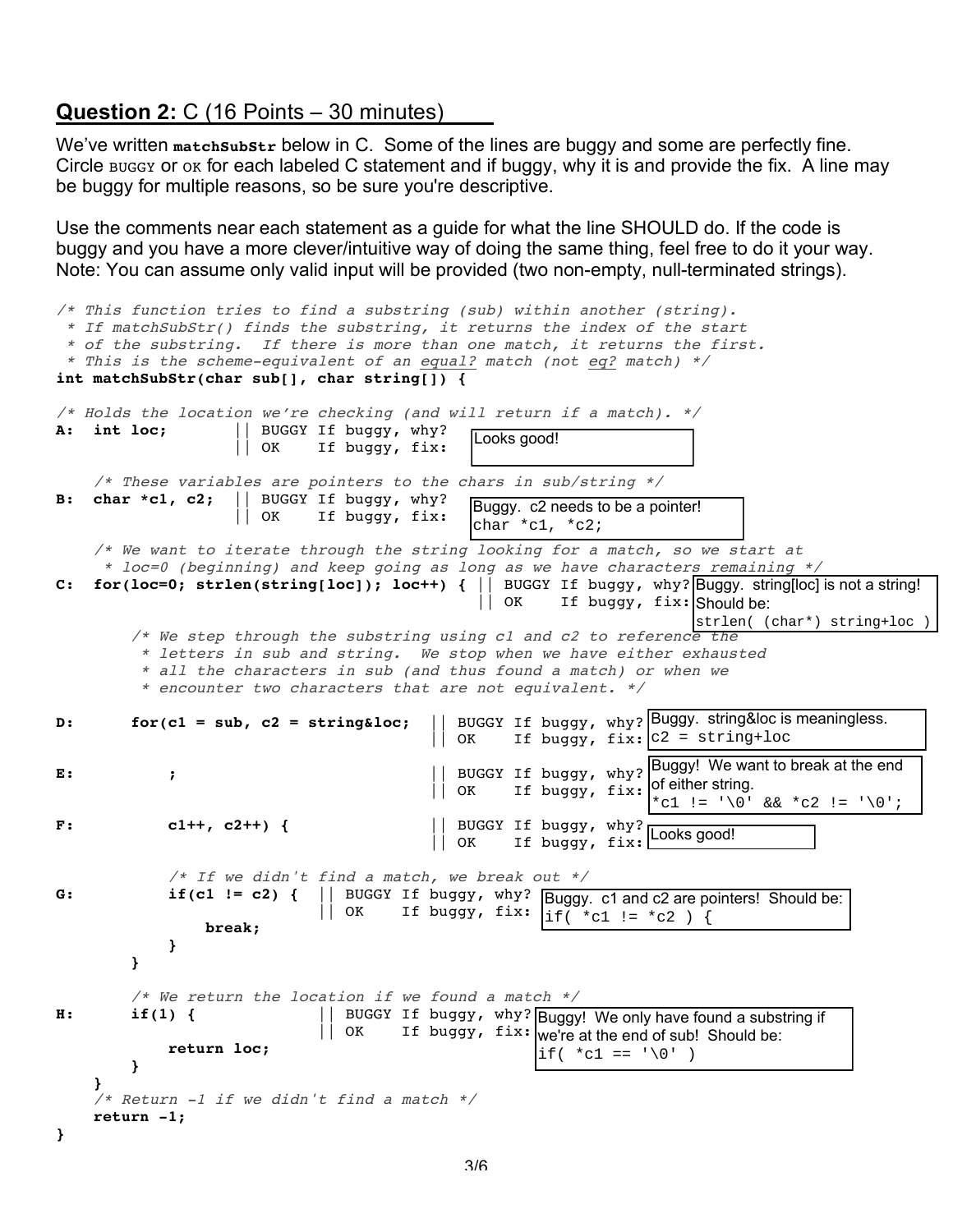## **Question 2:** C (16 Points – 30 minutes)

We've written matchsubstr below in C. Some of the lines are buggy and some are perfectly fine. Circle Buggy or ok for each labeled C statement and if buggy, why it is and provide the fix. A line may be buggy for multiple reasons, so be sure you're descriptive.

Use the comments near each statement as a guide for what the line SHOULD do. If the code is buggy and you have a more clever/intuitive way of doing the same thing, feel free to do it your way. Note: You can assume only valid input will be provided (two non-empty, null-terminated strings).

```
/* This function tries to find a substring (sub) within another (string).
  * If matchSubStr() finds the substring, it returns the index of the start
  * of the substring. If there is more than one match, it returns the first.
  * This is the scheme-equivalent of an equal? match (not eq? match) */
int matchSubStr(char sub[], char string[]) {
/* Holds the location we're checking (and will return if a match). */
A: int loc; || BUGGY If buggy, why?
                    || OK If buggy, fix:
     /* These variables are pointers to the chars in sub/string */
B: char *c1, c2; || BUGGY If buggy, why?
                     || OK If buggy, fix:
     /* We want to iterate through the string looking for a match, so we start at
      * loc=0 (beginning) and keep going as long as we have characters remaining */
C: for(loc=0; strlen(string[loc]); loc++) { || BUGGY If buggy, why?
Buggy. string[loc] is not a string! 
 || OK If buggy, fix:
Should be: 
        /* We step through the substring using c1 and c2 to reference the
          * letters in sub and string. We stop when we have either exhausted 
          * all the characters in sub (and thus found a match) or when we 
          * encounter two characters that are not equivalent. */
D: for(c1 = sub, c2 = string&loc;
 || OK If buggy, fix:
c2 = string+loc
E: ; || BUGGY If buggy, why?
Buggy! We want to break at the end 
                                          || OK If buggy, fix:
F: c1++, c2++) { || BUGGY If buggy, why?
\begin{bmatrix} 1 & 0 & 0 \\ 0 & 0 & 0 \\ 0 & 0 & 0 \end{bmatrix} or if buggy, fix: Looks good!
             /* If we didn't find a match, we break out */
G: if(c1 != c2) { || BUGGY If buggy, why?
 || OK If buggy, fix:
                 break;
 }
         }
        /* We return the location if we found a match */H: if(1) { || BUGGY If buggy, why? Buggy! We only have found a substring if
|| OK If buggy, fix: we're at the end of sub! Should be:
             return loc;
         }
 }
     /* Return -1 if we didn't find a match */
     return -1;
}
                                              Looks good! Buggy. c2 needs to be a pointer! 
                                             char *c1, *c2;
                                                                      strlen( (char*) string+loc )
                                         | BUGGY If buggy, why? Buggy. string&loc is meaningless.
                                                     Buggy. c1 and c2 are pointers! Should be: 
                                     If buggy, fix: \left| \begin{array}{cc} -5.5 & \text{if } k \in \mathbb{Z} \\ 1 & \text{if } k \in \mathbb{Z} \end{array} \right| := \left| \begin{array}{cc} k & \text{if } k \in \mathbb{Z} \end{array} \right|of either string. 
                                                                  *c1 := '0' & *c2 := '0';if( *C1 == ' \0' )
```